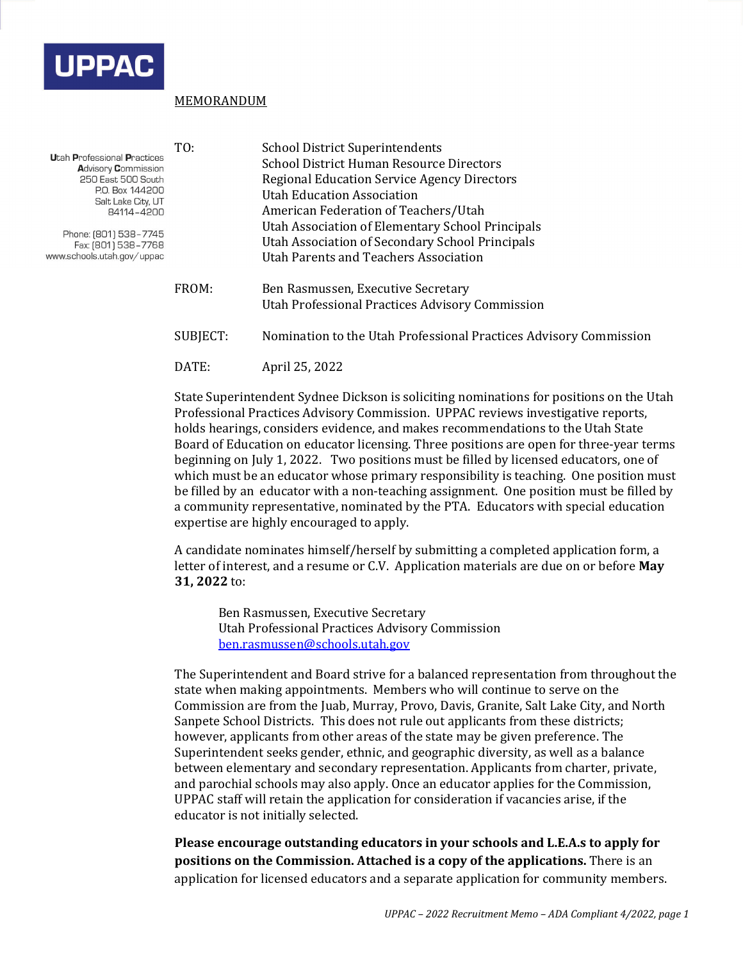

## MEMORANDUM

| <b>Utah Professional Practices</b><br><b>Advisory Commission</b><br>250 East 500 South<br>P.O. Box 144200<br>Salt Lake City, UT<br>84114-4200<br>Phone: (801) 538-7745<br>Fax: (801) 538-7768<br>www.schools.utah.gov/uppac | TO:      | <b>School District Superintendents</b><br><b>School District Human Resource Directors</b><br><b>Regional Education Service Agency Directors</b><br><b>Utah Education Association</b><br>American Federation of Teachers/Utah<br>Utah Association of Elementary School Principals<br>Utah Association of Secondary School Principals<br>Utah Parents and Teachers Association |
|-----------------------------------------------------------------------------------------------------------------------------------------------------------------------------------------------------------------------------|----------|------------------------------------------------------------------------------------------------------------------------------------------------------------------------------------------------------------------------------------------------------------------------------------------------------------------------------------------------------------------------------|
|                                                                                                                                                                                                                             | FROM:    | Ben Rasmussen, Executive Secretary<br>Utah Professional Practices Advisory Commission                                                                                                                                                                                                                                                                                        |
|                                                                                                                                                                                                                             | SUBJECT: | Nomination to the Utah Professional Practices Advisory Commission                                                                                                                                                                                                                                                                                                            |

DATE: April 25, 2022

State Superintendent Sydnee Dickson is soliciting nominations for positions on the Utah Professional Practices Advisory Commission. UPPAC reviews investigative reports, holds hearings, considers evidence, and makes recommendations to the Utah State Board of Education on educator licensing. Three positions are open for three-year terms beginning on July 1, 2022. Two positions must be filled by licensed educators, one of which must be an educator whose primary responsibility is teaching. One position must be filled by an educator with a non-teaching assignment. One position must be filled by a community representative, nominated by the PTA. Educators with special education expertise are highly encouraged to apply.

A candidate nominates himself/herself by submitting a completed application form, a letter of interest, and a resume or C.V. Application materials are due on or before **May 31, 2022** to:

Ben Rasmussen, Executive Secretary Utah Professional Practices Advisory Commission [ben.rasmussen@schools.utah.gov](mailto:ben.rasmussen@schools.utah.gov)

The Superintendent and Board strive for a balanced representation from throughout the state when making appointments. Members who will continue to serve on the Commission are from the Juab, Murray, Provo, Davis, Granite, Salt Lake City, and North Sanpete School Districts. This does not rule out applicants from these districts; however, applicants from other areas of the state may be given preference. The Superintendent seeks gender, ethnic, and geographic diversity, as well as a balance between elementary and secondary representation. Applicants from charter, private, and parochial schools may also apply. Once an educator applies for the Commission, UPPAC staff will retain the application for consideration if vacancies arise, if the educator is not initially selected.

**Please encourage outstanding educators in your schools and L.E.A.s to apply for positions on the Commission. Attached is a copy of the applications.** There is an application for licensed educators and a separate application for community members.